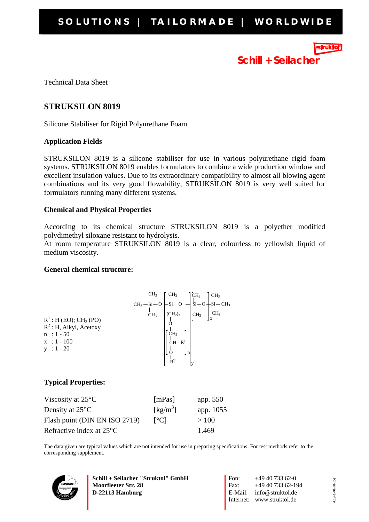**Schill + Seilacher**

Technical Data Sheet

# **STRUKSILON 8019**

Silicone Stabiliser for Rigid Polyurethane Foam

## **Application Fields**

STRUKSILON 8019 is a silicone stabiliser for use in various polyurethane rigid foam systems. STRUKSILON 8019 enables formulators to combine a wide production window and excellent insulation values. Due to its extraordinary compatibility to almost all blowing agent combinations and its very good flowability, STRUKSILON 8019 is very well suited for formulators running many different systems.

## **Chemical and Physical Properties**

According to its chemical structure STRUKSILON 8019 is a polyether modified polydimethyl siloxane resistant to hydrolysis.

At room temperature STRUKSILON 8019 is a clear, colourless to yellowish liquid of medium viscosity.

## **General chemical structure:**



## **Typical Properties:**

| Viscosity at $25^{\circ}$ C        | [mPas]                         | app. 550  |
|------------------------------------|--------------------------------|-----------|
| Density at $25^{\circ}$ C          | $\left[\mathrm{kg/m}^3\right]$ | app. 1055 |
| Flash point (DIN EN ISO 2719)      | $\lceil$ <sup>o</sup> Cl       | >100      |
| Refractive index at $25^{\circ}$ C |                                | 1.469     |

The data given are typical values which are not intended for use in preparing specifications. For test methods refer to the corresponding supplement.



**Schill + Seilacher "Struktol" GmbH Moorfleeter Str. 28 D-22113 Hamburg**